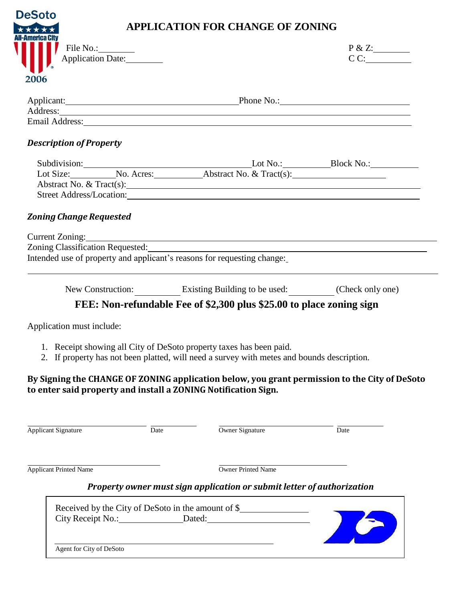| <b>DeSoto</b>                  |                                | <b>APPLICATION FOR CHANGE OF ZONING</b>                                                                                                                                                                                                                                                                                                                                               |                   |
|--------------------------------|--------------------------------|---------------------------------------------------------------------------------------------------------------------------------------------------------------------------------------------------------------------------------------------------------------------------------------------------------------------------------------------------------------------------------------|-------------------|
| 2006                           | File No.:<br>Application Date: |                                                                                                                                                                                                                                                                                                                                                                                       | P & Z:<br>CC:     |
|                                |                                | Applicant: Phone No.: Phone No.:                                                                                                                                                                                                                                                                                                                                                      |                   |
|                                |                                | Email Address: Note and Address: Note and Address: Note and Address: Note and Address: Note and Address: Note and Address: Note and Address: Note and Address: Note and Address: Note and Address: Note and Address: Note and                                                                                                                                                         |                   |
| <b>Description of Property</b> |                                |                                                                                                                                                                                                                                                                                                                                                                                       |                   |
|                                |                                | Subdivision: Lot No.: Block No.: Block No.: Block No.: Lot Size: No. Acres: No. Acres: Abstract No. & Tract(s):<br>Abstract No. & Tract(s):                                                                                                                                                                                                                                           |                   |
| <b>Zoning Change Requested</b> |                                |                                                                                                                                                                                                                                                                                                                                                                                       |                   |
|                                |                                | Zoning Classification Requested:<br><u>Letter and the contract of the contract of the contract of the contract of the contract of the contract of the contract of the contract of the contract of the contract of the contract of </u><br>Intended use of property and applicant's reasons for requesting change:<br>New Construction: Existing Building to be used: (Check only one) |                   |
|                                |                                | FEE: Non-refundable Fee of \$2,300 plus \$25.00 to place zoning sign                                                                                                                                                                                                                                                                                                                  |                   |
| Application must include:      |                                |                                                                                                                                                                                                                                                                                                                                                                                       |                   |
|                                |                                | 1. Receipt showing all City of DeSoto property taxes has been paid.<br>2. If property has not been platted, will need a survey with metes and bounds description.<br>By Signing the CHANGE OF ZONING application below, you grant permission to the City of DeSoto<br>to enter said property and install a ZONING Notification Sign.                                                  |                   |
| <b>Applicant Signature</b>     | Date                           | Owner Signature                                                                                                                                                                                                                                                                                                                                                                       | $\overline{Date}$ |
|                                |                                |                                                                                                                                                                                                                                                                                                                                                                                       |                   |
| <b>Applicant Printed Name</b>  |                                | Owner Printed Name                                                                                                                                                                                                                                                                                                                                                                    |                   |
|                                |                                | Property owner must sign application or submit letter of authorization                                                                                                                                                                                                                                                                                                                |                   |
|                                |                                | Received by the City of DeSoto in the amount of \$________________________________                                                                                                                                                                                                                                                                                                    |                   |

Agent for City of DeSoto